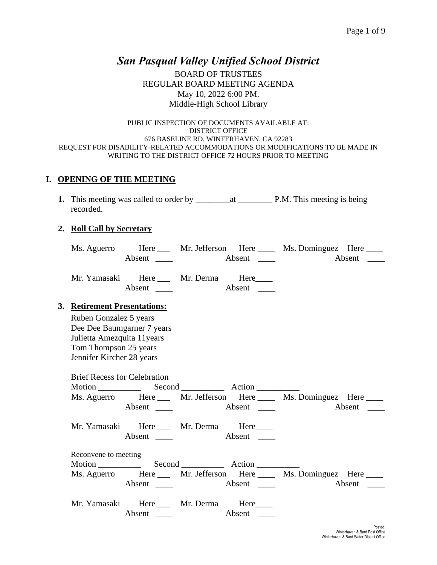## *San Pasqual Valley Unified School District*

BOARD OF TRUSTEES REGULAR BOARD MEETING AGENDA May 10, 2022 6:00 PM. Middle-High School Library

#### PUBLIC INSPECTION OF DOCUMENTS AVAILABLE AT: DISTRICT OFFICE 676 BASELINE RD, WINTERHAVEN, CA 92283 REQUEST FOR DISABILITY-RELATED ACCOMMODATIONS OR MODIFICATIONS TO BE MADE IN WRITING TO THE DISTRICT OFFICE 72 HOURS PRIOR TO MEETING

### **I. OPENING OF THE MEETING**

**1.** This meeting was called to order by \_\_\_\_\_\_\_\_at \_\_\_\_\_\_\_\_ P.M. This meeting is being recorded.

#### **2. Roll Call by Secretary**

| Ms. Aguerro | Here   | Mr. Jefferson Here |        | Ms. Dominguez Here _____ |        |
|-------------|--------|--------------------|--------|--------------------------|--------|
|             | Absent |                    | Absent |                          | Absent |

| Mr. Yamasaki | Here   | Mr. Derma | Here   |
|--------------|--------|-----------|--------|
|              | Absent |           | Absent |

### **3. Retirement Presentations:**

Ruben Gonzalez 5 years Dee Dee Baumgarner 7 years Julietta Amezquita 11years Tom Thompson 25 years Jennifer Kircher 28 years

| <b>Brief Recess for Celebration</b> |                                                   |  |                                                        |
|-------------------------------------|---------------------------------------------------|--|--------------------------------------------------------|
|                                     |                                                   |  | Ms. Aguerro Here Mr. Jefferson Here Ms. Dominguez Here |
|                                     |                                                   |  |                                                        |
|                                     | Mr. Yamasaki Here Mr. Derma Here<br>Absent Absent |  |                                                        |
| Reconvene to meeting                |                                                   |  |                                                        |
|                                     |                                                   |  |                                                        |
|                                     |                                                   |  | Ms. Aguerro Here Mr. Jefferson Here Ms. Dominguez Here |
|                                     | Mr. Yamasaki Here Mr. Derma Here                  |  |                                                        |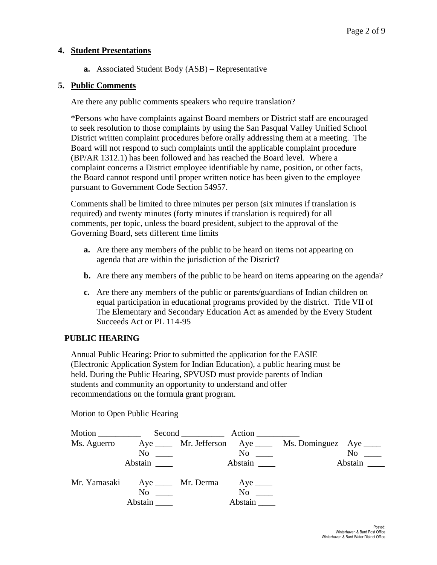### **4. Student Presentations**

**a.** Associated Student Body (ASB) – Representative

### **5. Public Comments**

Are there any public comments speakers who require translation?

\*Persons who have complaints against Board members or District staff are encouraged to seek resolution to those complaints by using the San Pasqual Valley Unified School District written complaint procedures before orally addressing them at a meeting. The Board will not respond to such complaints until the applicable complaint procedure (BP/AR 1312.1) has been followed and has reached the Board level. Where a complaint concerns a District employee identifiable by name, position, or other facts, the Board cannot respond until proper written notice has been given to the employee pursuant to Government Code Section 54957.

Comments shall be limited to three minutes per person (six minutes if translation is required) and twenty minutes (forty minutes if translation is required) for all comments, per topic, unless the board president, subject to the approval of the Governing Board, sets different time limits

- **a.** Are there any members of the public to be heard on items not appearing on agenda that are within the jurisdiction of the District?
- **b.** Are there any members of the public to be heard on items appearing on the agenda?
- **c.** Are there any members of the public or parents/guardians of Indian children on equal participation in educational programs provided by the district. Title VII of The Elementary and Secondary Education Act as amended by the Every Student Succeeds Act or PL 114-95

### **PUBLIC HEARING**

Annual Public Hearing: Prior to submitted the application for the EASIE (Electronic Application System for Indian Education), a public hearing must be held. During the Public Hearing, SPVUSD must provide parents of Indian students and community an opportunity to understand and offer recommendations on the formula grant program.



Motion to Open Public Hearing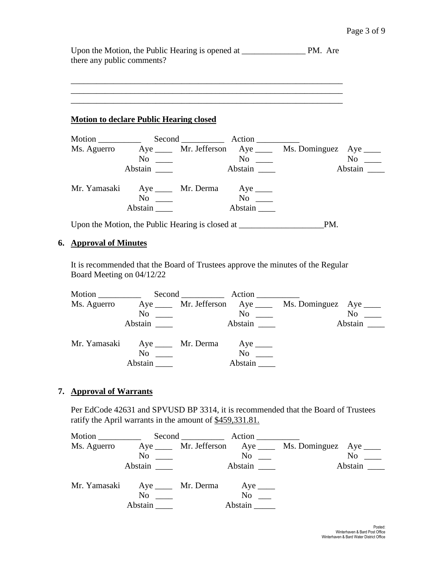Upon the Motion, the Public Hearing is opened at \_\_\_\_\_\_\_\_\_\_\_\_\_\_\_ PM. Are there any public comments?

\_\_\_\_\_\_\_\_\_\_\_\_\_\_\_\_\_\_\_\_\_\_\_\_\_\_\_\_\_\_\_\_\_\_\_\_\_\_\_\_\_\_\_\_\_\_\_\_\_\_\_\_\_\_\_\_\_\_\_\_\_\_\_\_

#### **Motion to declare Public Hearing closed**

|              |                                                                                   |                      | Second Action |                                                                    |         |
|--------------|-----------------------------------------------------------------------------------|----------------------|---------------|--------------------------------------------------------------------|---------|
|              |                                                                                   |                      |               | Ms. Aguerro Aye ____ Mr. Jefferson Aye ____ Ms. Dominguez Aye ____ |         |
|              | $No \ \_$                                                                         |                      | No            |                                                                    | No      |
|              | Abstain                                                                           |                      | Abstain       |                                                                    | Abstain |
| Mr. Yamasaki |                                                                                   | Aye ______ Mr. Derma | Aye $\_\_$    |                                                                    |         |
|              | No                                                                                |                      | No            |                                                                    |         |
|              | Abstain                                                                           |                      | Abstain       |                                                                    |         |
|              | Upon the Motion, the Public Hearing is closed at ________________________________ | PM.                  |               |                                                                    |         |

#### **6. Approval of Minutes**

It is recommended that the Board of Trustees approve the minutes of the Regular Board Meeting on 04/12/22

| Motion $\frac{1}{\sqrt{1-\frac{1}{2}}\cdot\frac{1}{\sqrt{1-\frac{1}{2}}}}$ |                                          | Second Action        |                                                            |
|----------------------------------------------------------------------------|------------------------------------------|----------------------|------------------------------------------------------------|
| Ms. Aguerro                                                                |                                          |                      | Aye ______ Mr. Jefferson Aye _____ Ms. Dominguez Aye _____ |
|                                                                            |                                          | $\mathrm{No}$ $\_\_$ | $No \_\_$                                                  |
|                                                                            | Abstain                                  | Abstain              | Abstain $\_\_\_\_\$                                        |
|                                                                            | Mr. Yamasaki Aye ____ Mr. Derma Aye ____ |                      |                                                            |
|                                                                            | N <sub>0</sub>                           | $No \t —$            |                                                            |
|                                                                            | Abstain                                  | Abstain              |                                                            |

### **7. Approval of Warrants**

Per EdCode 42631 and SPVUSD BP 3314, it is recommended that the Board of Trustees ratify the April warrants in the amount of \$459,331.81.

|             |                                          | Second Action        |                                                            |
|-------------|------------------------------------------|----------------------|------------------------------------------------------------|
| Ms. Aguerro |                                          |                      | Aye ______ Mr. Jefferson Aye _____ Ms. Dominguez Aye _____ |
|             |                                          | $\mathrm{No}$ $\_\_$ | $\overline{N_0}$ $\overline{\phantom{1}}$                  |
|             | Abstain                                  |                      | Abstain                                                    |
|             | Mr. Yamasaki Aye ____ Mr. Derma Aye ____ |                      |                                                            |
|             | N <sub>0</sub>                           | $No \t —$            |                                                            |
|             | Abstain                                  | Abstain              |                                                            |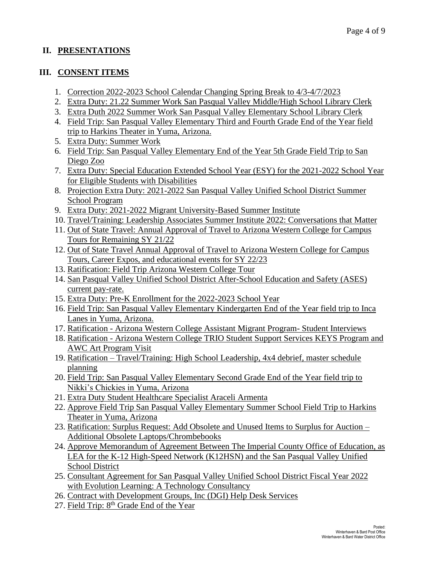### **II. PRESENTATIONS**

### **III. CONSENT ITEMS**

- 1. Correction 2022-2023 School Calendar Changing Spring Break to 4/3-4/7/2023
- 2. Extra Duty: 21.22 Summer Work San Pasqual Valley Middle/High School Library Clerk
- 3. Extra Duth 2022 Summer Work San Pasqual Valley Elementary School Library Clerk
- 4. Field Trip: San Pasqual Valley Elementary Third and Fourth Grade End of the Year field trip to Harkins Theater in Yuma, Arizona.
- 5. Extra Duty: Summer Work
- 6. Field Trip: San Pasqual Valley Elementary End of the Year 5th Grade Field Trip to San Diego Zoo
- 7. Extra Duty: Special Education Extended School Year (ESY) for the 2021-2022 School Year for Eligible Students with Disabilities
- 8. Projection Extra Duty: 2021-2022 San Pasqual Valley Unified School District Summer School Program
- 9. Extra Duty: 2021-2022 Migrant University-Based Summer Institute
- 10. Travel/Training: Leadership Associates Summer Institute 2022: Conversations that Matter
- 11. Out of State Travel: Annual Approval of Travel to Arizona Western College for Campus Tours for Remaining SY 21/22
- 12. Out of State Travel Annual Approval of Travel to Arizona Western College for Campus Tours, Career Expos, and educational events for SY 22/23
- 13. Ratification: Field Trip Arizona Western College Tour
- 14. San Pasqual Valley Unified School District After-School Education and Safety (ASES) current pay-rate.
- 15. Extra Duty: Pre-K Enrollment for the 2022-2023 School Year
- 16. Field Trip: San Pasqual Valley Elementary Kindergarten End of the Year field trip to Inca Lanes in Yuma, Arizona.
- 17. Ratification Arizona Western College Assistant Migrant Program- Student Interviews
- 18. Ratification Arizona Western College TRIO Student Support Services KEYS Program and AWC Art Program Visit
- 19. Ratification Travel/Training: High School Leadership, 4x4 debrief, master schedule planning
- 20. Field Trip: San Pasqual Valley Elementary Second Grade End of the Year field trip to Nikki's Chickies in Yuma, Arizona
- 21. Extra Duty Student Healthcare Specialist Araceli Armenta
- 22. Approve Field Trip San Pasqual Valley Elementary Summer School Field Trip to Harkins Theater in Yuma, Arizona
- 23. Ratification: Surplus Request: Add Obsolete and Unused Items to Surplus for Auction Additional Obsolete Laptops/Chrombebooks
- 24. Approve Memorandum of Agreement Between The Imperial County Office of Education, as LEA for the K-12 High-Speed Network (K12HSN) and the San Pasqual Valley Unified School District
- 25. Consultant Agreement for San Pasqual Valley Unified School District Fiscal Year 2022 with Evolution Learning: A Technology Consultancy
- 26. Contract with Development Groups, Inc (DGI) Help Desk Services
- 27. Field Trip: 8<sup>th</sup> Grade End of the Year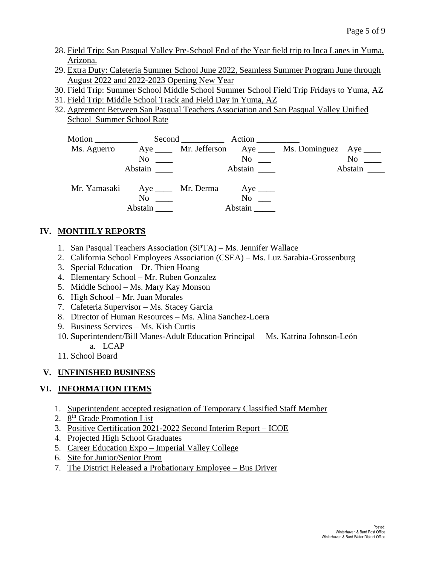- 28. Field Trip: San Pasqual Valley Pre-School End of the Year field trip to Inca Lanes in Yuma, Arizona.
- 29. Extra Duty: Cafeteria Summer School June 2022, Seamless Summer Program June through August 2022 and 2022-2023 Opening New Year
- 30. Field Trip: Summer School Middle School Summer School Field Trip Fridays to Yuma, AZ
- 31. Field Trip: Middle School Track and Field Day in Yuma, AZ
- 32. Agreement Between San Pasqual Teachers Association and San Pasqual Valley Unified School Summer School Rate



## **IV. MONTHLY REPORTS**

- 1. San Pasqual Teachers Association (SPTA) Ms. Jennifer Wallace
- 2. California School Employees Association (CSEA) Ms. Luz Sarabia-Grossenburg
- 3. Special Education Dr. Thien Hoang
- 4. Elementary School Mr. Ruben Gonzalez
- 5. Middle School Ms. Mary Kay Monson
- 6. High School Mr. Juan Morales
- 7. Cafeteria Supervisor Ms. Stacey Garcia
- 8. Director of Human Resources Ms. Alina Sanchez-Loera
- 9. Business Services Ms. Kish Curtis
- 10. Superintendent/Bill Manes-Adult Education Principal Ms. Katrina Johnson-León a. LCAP
- 11. School Board

## **V. UNFINISHED BUSINESS**

## **VI. INFORMATION ITEMS**

- 1. Superintendent accepted resignation of Temporary Classified Staff Member
- 2. 8<sup>th</sup> Grade Promotion List
- 3. Positive Certification 2021-2022 Second Interim Report ICOE
- 4. Projected High School Graduates
- 5. Career Education Expo Imperial Valley College
- 6. Site for Junior/Senior Prom
- 7. The District Released a Probationary Employee Bus Driver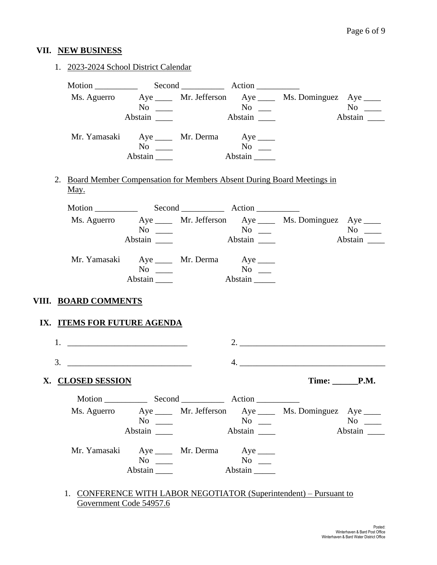## **VII. NEW BUSINESS**

|  |                             | 1. 2023-2024 School District Calendar                 |                                           |                                                                          |                   |
|--|-----------------------------|-------------------------------------------------------|-------------------------------------------|--------------------------------------------------------------------------|-------------------|
|  |                             |                                                       |                                           |                                                                          |                   |
|  |                             |                                                       |                                           | Ms. Aguerro Aye ____ Mr. Jefferson Aye ____ Ms. Dominguez Aye ___        |                   |
|  |                             |                                                       |                                           |                                                                          |                   |
|  |                             | Abstain                                               |                                           |                                                                          | Abstain           |
|  |                             | Mr. Yamasaki Aye ____ Mr. Derma Aye ____              |                                           |                                                                          |                   |
|  |                             | $No \ \_$                                             |                                           |                                                                          |                   |
|  |                             | Abstain $\_\_\_\_\$                                   |                                           |                                                                          |                   |
|  |                             |                                                       |                                           | 2. Board Member Compensation for Members Absent During Board Meetings in |                   |
|  | <u>May.</u>                 |                                                       |                                           |                                                                          |                   |
|  |                             |                                                       |                                           |                                                                          |                   |
|  |                             |                                                       |                                           | Ms. Aguerro Aye _____ Mr. Jefferson Aye _____ Ms. Dominguez Aye ____     |                   |
|  |                             |                                                       |                                           |                                                                          | No No             |
|  |                             | Abstain _______                                       |                                           |                                                                          | Abstain           |
|  |                             | Mr. Yamasaki Aye ____ Mr. Derma Aye ____              |                                           |                                                                          |                   |
|  |                             |                                                       |                                           |                                                                          |                   |
|  |                             | $No \ \_$                                             | $\overline{N_0}$ $\overline{\phantom{0}}$ |                                                                          |                   |
|  |                             | $\Delta \text{b}$ stain $\_\_\_\_\$                   | $\overline{\mathsf{Abstain}}$             |                                                                          |                   |
|  |                             |                                                       |                                           |                                                                          |                   |
|  | VIII. BOARD COMMENTS        |                                                       |                                           |                                                                          |                   |
|  | IX. ITEMS FOR FUTURE AGENDA |                                                       |                                           |                                                                          |                   |
|  |                             |                                                       |                                           |                                                                          |                   |
|  |                             |                                                       |                                           | $\overline{4}$ .                                                         |                   |
|  | X. CLOSED SESSION           |                                                       |                                           |                                                                          | Time: <b>P.M.</b> |
|  |                             |                                                       |                                           |                                                                          |                   |
|  |                             |                                                       |                                           |                                                                          |                   |
|  |                             | $No \ \_$                                             | $No \ \_$                                 | Ms. Aguerro Aye _____ Mr. Jefferson Aye _____ Ms. Dominguez Aye ____     | $No \ \_$         |
|  |                             | Abstain _______                                       |                                           |                                                                          | Abstain           |
|  |                             |                                                       |                                           |                                                                          |                   |
|  |                             | Mr. Yamasaki Aye ____ Mr. Derma Aye ____<br>$No \ \_$ | $No \_$                                   |                                                                          |                   |

1. CONFERENCE WITH LABOR NEGOTIATOR (Superintendent) – Pursuant to Government Code 54957.6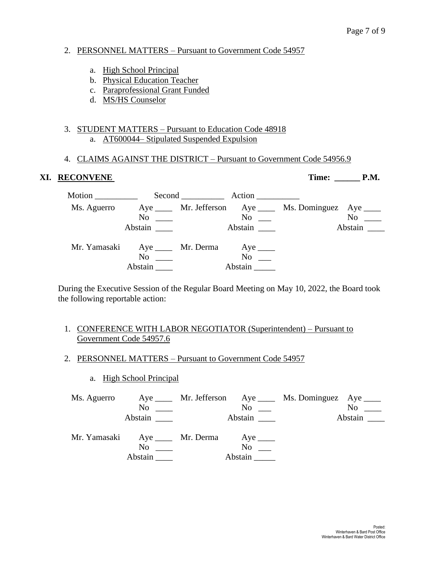### 2. PERSONNEL MATTERS – Pursuant to Government Code 54957

- a. High School Principal
- b. Physical Education Teacher
- c. Paraprofessional Grant Funded
- d. MS/HS Counselor

### 3. STUDENT MATTERS – Pursuant to Education Code 48918 a. AT600044– Stipulated Suspended Expulsion

### 4. CLAIMS AGAINST THE DISTRICT – Pursuant to Government Code 54956.9

### **XI. RECONVENE Time: \_\_\_\_\_\_ P.M.**

| Motion __________ |                                                                  | Second Action        |                                                         |                  |
|-------------------|------------------------------------------------------------------|----------------------|---------------------------------------------------------|------------------|
| Ms. Aguerro       | $\mathrm{No}$ $\_\_$                                             | No                   | Aye _____ Mr. Jefferson Aye ____ Ms. Dominguez Aye ____ | $No \_\_$        |
|                   | Abstain                                                          | Abstain              |                                                         | Abstain $\qquad$ |
|                   | Mr. Yamasaki Aye ____ Mr. Derma Aye ____<br>$No \ \_$<br>Abstain | $No \t —$<br>Abstain |                                                         |                  |

During the Executive Session of the Regular Board Meeting on May 10, 2022, the Board took the following reportable action:

### 1. CONFERENCE WITH LABOR NEGOTIATOR (Superintendent) – Pursuant to Government Code 54957.6

### 2. PERSONNEL MATTERS – Pursuant to Government Code 54957

a. High School Principal

| Ms. Aguerro |                                                                       |                                                        | Aye _____ Mr. Jefferson Aye ____ Ms. Dominguez Aye ____ |                     |
|-------------|-----------------------------------------------------------------------|--------------------------------------------------------|---------------------------------------------------------|---------------------|
|             | N <sub>0</sub>                                                        | No                                                     |                                                         | $No \_\_$           |
|             | Abstain                                                               |                                                        |                                                         | Abstain $\_\_\_\_\$ |
|             | Mr. Yamasaki Aye ____ Mr. Derma Aye ____<br>N <sub>0</sub><br>Abstain | $\overline{N_{0}}$ $\overline{\phantom{0}}$<br>Abstain |                                                         |                     |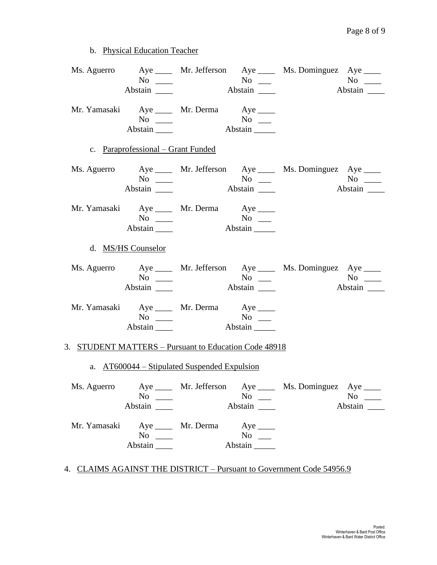b. Physical Education Teacher

|                                                       |                                                                                                 |                       |                                             | Ms. Aguerro Aye ____ Mr. Jefferson Aye ____ Ms. Dominguez Aye ____   |                      |
|-------------------------------------------------------|-------------------------------------------------------------------------------------------------|-----------------------|---------------------------------------------|----------------------------------------------------------------------|----------------------|
|                                                       | Mr. Yamasaki Aye ____ Mr. Derma Aye ____<br>Abstain                                             |                       |                                             |                                                                      |                      |
|                                                       | c. Paraprofessional – Grant Funded                                                              |                       |                                             |                                                                      |                      |
|                                                       |                                                                                                 |                       |                                             | Ms. Aguerro Aye _____ Mr. Jefferson Aye _____ Ms. Dominguez Aye ____ |                      |
|                                                       | Mr. Yamasaki Aye ____ Mr. Derma Aye ____<br>$No \ \_$<br>Abstain $\_\_\_\_\$                    |                       |                                             |                                                                      |                      |
|                                                       | d. MS/HS Counselor                                                                              |                       |                                             |                                                                      |                      |
|                                                       | Abstain _______                                                                                 |                       | Abstain                                     | Ms. Aguerro Aye _____ Mr. Jefferson Aye _____ Ms. Dominguez Aye ____ | $No \_\_$<br>Abstain |
|                                                       | Mr. Yamasaki Aye ____ Mr. Derma Aye ____<br>$\Delta \text{b}$ stain $\frac{1}{\Delta \text{b}}$ |                       |                                             |                                                                      |                      |
| 3. STUDENT MATTERS - Pursuant to Education Code 48918 |                                                                                                 |                       |                                             |                                                                      |                      |
|                                                       | a. AT600044 – Stipulated Suspended Expulsion                                                    |                       |                                             |                                                                      |                      |
| Ms. Aguerro                                           | $No \ \_$                                                                                       |                       | $No \_$<br>Abstain                          | Aye ______ Mr. Jefferson Aye _____ Ms. Dominguez Aye ____            | $No \ \_$<br>Abstain |
| Mr. Yamasaki                                          | $No \ \_$<br>Abstain                                                                            | Aye _______ Mr. Derma | $Aye$ <sub>____</sub><br>$No \_$<br>Abstain |                                                                      |                      |

# 4. CLAIMS AGAINST THE DISTRICT – Pursuant to Government Code 54956.9